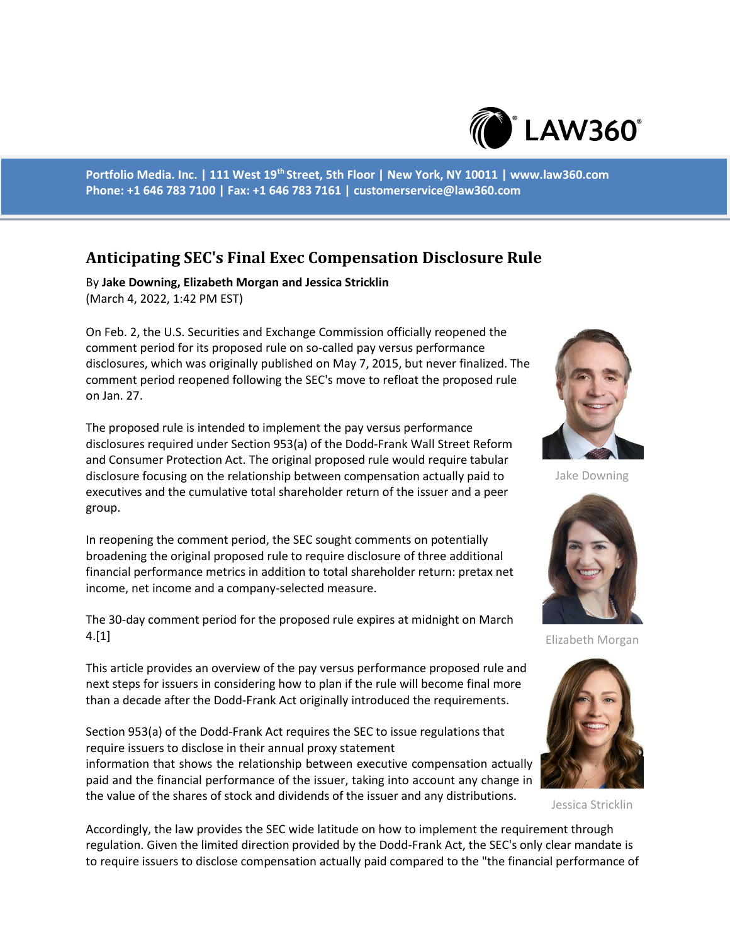

**Portfolio Media. Inc. | 111 West 19th Street, 5th Floor | New York, NY 10011 | www.law360.com Phone: +1 646 783 7100 | Fax: +1 646 783 7161 | customerservice@law360.com**

## **Anticipating SEC's Final Exec Compensation Disclosure Rule**

By **Jake Downing, Elizabeth Morgan and Jessica Stricklin** (March 4, 2022, 1:42 PM EST)

On Feb. 2, the U.S. Securities and Exchange Commission officially reopened the comment period for its proposed rule on so-called pay versus performance disclosures, which was originally published on May 7, 2015, but never finalized. The comment period reopened following the SEC's move to refloat the proposed rule on Jan. 27.

The proposed rule is intended to implement the pay versus performance disclosures required under Section 953(a) of the Dodd-Frank Wall Street Reform and Consumer Protection Act. The original proposed rule would require tabular disclosure focusing on the relationship between compensation actually paid to executives and the cumulative total shareholder return of the issuer and a peer group.

In reopening the comment period, the SEC sought comments on potentially broadening the original proposed rule to require disclosure of three additional financial performance metrics in addition to total shareholder return: pretax net income, net income and a company-selected measure.

The 30-day comment period for the proposed rule expires at midnight on March 4.[1]

This article provides an overview of the pay versus performance proposed rule and next steps for issuers in considering how to plan if the rule will become final more than a decade after the Dodd-Frank Act originally introduced the requirements.

Section 953(a) of the Dodd-Frank Act requires the SEC to issue regulations that require issuers to disclose in their annual proxy statement information that shows the relationship between executive compensation actually paid and the financial performance of the issuer, taking into account any change in the value of the shares of stock and dividends of the issuer and any distributions.



Jake Downing



Elizabeth Morgan



Jessica Stricklin

Accordingly, the law provides the SEC wide latitude on how to implement the requirement through regulation. Given the limited direction provided by the Dodd-Frank Act, the SEC's only clear mandate is to require issuers to disclose compensation actually paid compared to the "the financial performance of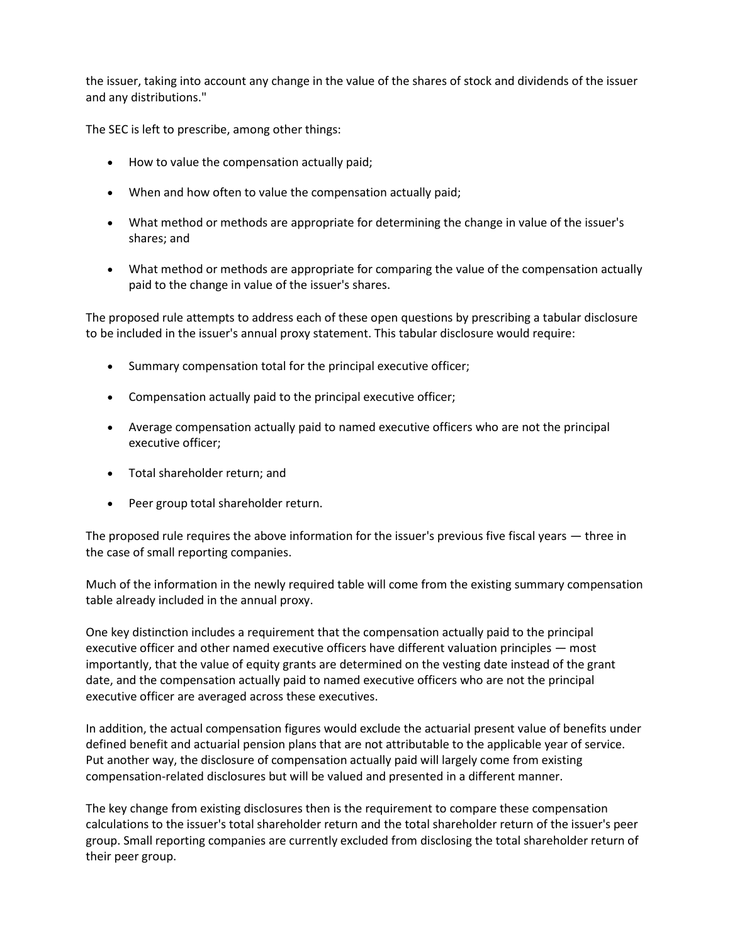the issuer, taking into account any change in the value of the shares of stock and dividends of the issuer and any distributions."

The SEC is left to prescribe, among other things:

- How to value the compensation actually paid;
- When and how often to value the compensation actually paid;
- What method or methods are appropriate for determining the change in value of the issuer's shares; and
- What method or methods are appropriate for comparing the value of the compensation actually paid to the change in value of the issuer's shares.

The proposed rule attempts to address each of these open questions by prescribing a tabular disclosure to be included in the issuer's annual proxy statement. This tabular disclosure would require:

- Summary compensation total for the principal executive officer;
- Compensation actually paid to the principal executive officer;
- Average compensation actually paid to named executive officers who are not the principal executive officer;
- Total shareholder return; and
- Peer group total shareholder return.

The proposed rule requires the above information for the issuer's previous five fiscal years — three in the case of small reporting companies.

Much of the information in the newly required table will come from the existing summary compensation table already included in the annual proxy.

One key distinction includes a requirement that the compensation actually paid to the principal executive officer and other named executive officers have different valuation principles — most importantly, that the value of equity grants are determined on the vesting date instead of the grant date, and the compensation actually paid to named executive officers who are not the principal executive officer are averaged across these executives.

In addition, the actual compensation figures would exclude the actuarial present value of benefits under defined benefit and actuarial pension plans that are not attributable to the applicable year of service. Put another way, the disclosure of compensation actually paid will largely come from existing compensation-related disclosures but will be valued and presented in a different manner.

The key change from existing disclosures then is the requirement to compare these compensation calculations to the issuer's total shareholder return and the total shareholder return of the issuer's peer group. Small reporting companies are currently excluded from disclosing the total shareholder return of their peer group.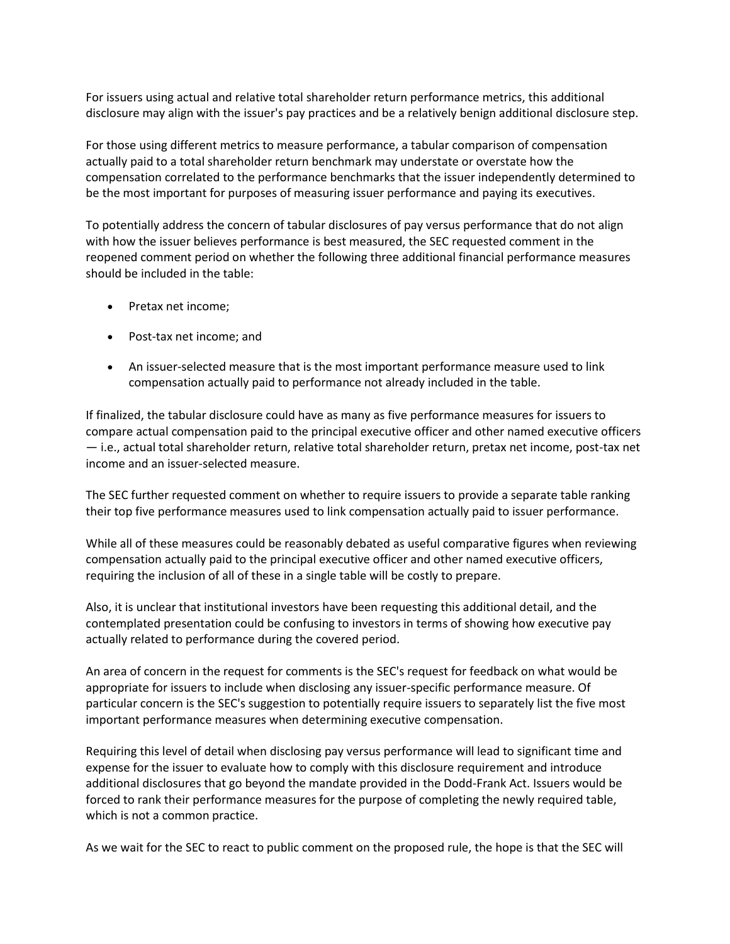For issuers using actual and relative total shareholder return performance metrics, this additional disclosure may align with the issuer's pay practices and be a relatively benign additional disclosure step.

For those using different metrics to measure performance, a tabular comparison of compensation actually paid to a total shareholder return benchmark may understate or overstate how the compensation correlated to the performance benchmarks that the issuer independently determined to be the most important for purposes of measuring issuer performance and paying its executives.

To potentially address the concern of tabular disclosures of pay versus performance that do not align with how the issuer believes performance is best measured, the SEC requested comment in the reopened comment period on whether the following three additional financial performance measures should be included in the table:

- Pretax net income;
- Post-tax net income; and
- An issuer-selected measure that is the most important performance measure used to link compensation actually paid to performance not already included in the table.

If finalized, the tabular disclosure could have as many as five performance measures for issuers to compare actual compensation paid to the principal executive officer and other named executive officers — i.e., actual total shareholder return, relative total shareholder return, pretax net income, post-tax net income and an issuer-selected measure.

The SEC further requested comment on whether to require issuers to provide a separate table ranking their top five performance measures used to link compensation actually paid to issuer performance.

While all of these measures could be reasonably debated as useful comparative figures when reviewing compensation actually paid to the principal executive officer and other named executive officers, requiring the inclusion of all of these in a single table will be costly to prepare.

Also, it is unclear that institutional investors have been requesting this additional detail, and the contemplated presentation could be confusing to investors in terms of showing how executive pay actually related to performance during the covered period.

An area of concern in the request for comments is the SEC's request for feedback on what would be appropriate for issuers to include when disclosing any issuer-specific performance measure. Of particular concern is the SEC's suggestion to potentially require issuers to separately list the five most important performance measures when determining executive compensation.

Requiring this level of detail when disclosing pay versus performance will lead to significant time and expense for the issuer to evaluate how to comply with this disclosure requirement and introduce additional disclosures that go beyond the mandate provided in the Dodd-Frank Act. Issuers would be forced to rank their performance measures for the purpose of completing the newly required table, which is not a common practice.

As we wait for the SEC to react to public comment on the proposed rule, the hope is that the SEC will